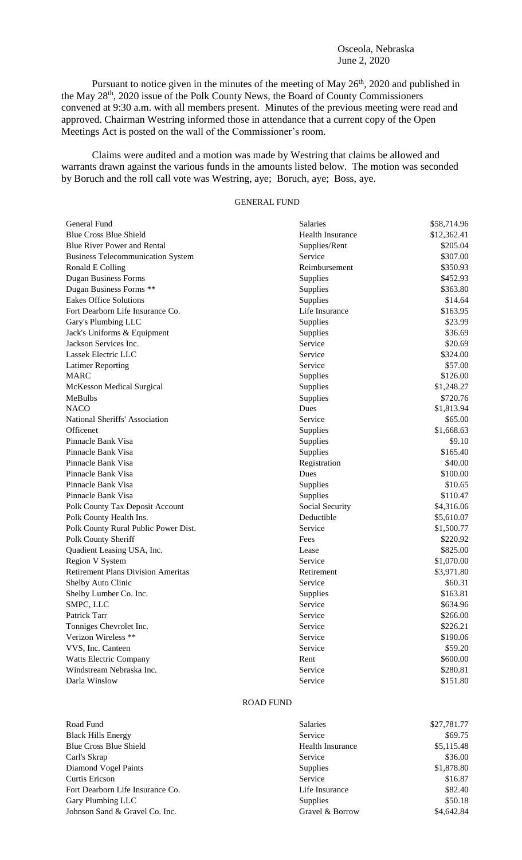## Osceola, Nebraska June 2, 2020

Pursuant to notice given in the minutes of the meeting of May 26<sup>th</sup>, 2020 and published in the May 28<sup>th</sup>, 2020 issue of the Polk County News, the Board of County Commissioners convened at 9:30 a.m. with all members present. Minutes of the previous meeting were read and approved. Chairman Westring informed those in attendance that a current copy of the Open Meetings Act is posted on the wall of the Commissioner's room.

Claims were audited and a motion was made by Westring that claims be allowed and warrants drawn against the various funds in the amounts listed below. The motion was seconded by Boruch and the roll call vote was Westring, aye; Boruch, aye; Boss, aye.

## GENERAL FUND

| General Fund                              | Salaries                | \$58,714.96 |
|-------------------------------------------|-------------------------|-------------|
| <b>Blue Cross Blue Shield</b>             | <b>Health Insurance</b> | \$12,362.41 |
| <b>Blue River Power and Rental</b>        | Supplies/Rent           | \$205.04    |
| <b>Business Telecommunication System</b>  | Service                 | \$307.00    |
| Ronald E Colling                          | Reimbursement           | \$350.93    |
| <b>Dugan Business Forms</b>               | Supplies                | \$452.93    |
| Dugan Business Forms **                   | Supplies                | \$363.80    |
| <b>Eakes Office Solutions</b>             | Supplies                | \$14.64     |
| Fort Dearborn Life Insurance Co.          | Life Insurance          | \$163.95    |
| Gary's Plumbing LLC                       | Supplies                | \$23.99     |
| Jack's Uniforms & Equipment               | Supplies                | \$36.69     |
| Jackson Services Inc.                     | Service                 | \$20.69     |
| Lassek Electric LLC                       | Service                 | \$324.00    |
| <b>Latimer Reporting</b>                  | Service                 | \$57.00     |
| <b>MARC</b>                               | Supplies                | \$126.00    |
| McKesson Medical Surgical                 | Supplies                | \$1,248.27  |
| MeBulbs                                   | Supplies                | \$720.76    |
| <b>NACO</b>                               | Dues                    | \$1,813.94  |
| National Sheriffs' Association            | Service                 | \$65.00     |
| Officenet                                 | Supplies                | \$1,668.63  |
| Pinnacle Bank Visa                        | Supplies                | \$9.10      |
| Pinnacle Bank Visa                        | Supplies                | \$165.40    |
| Pinnacle Bank Visa                        | Registration            | \$40.00     |
| Pinnacle Bank Visa                        | Dues                    | \$100.00    |
| Pinnacle Bank Visa                        | Supplies                | \$10.65     |
| Pinnacle Bank Visa                        | Supplies                | \$110.47    |
| Polk County Tax Deposit Account           | Social Security         | \$4,316.06  |
| Polk County Health Ins.                   | Deductible              | \$5,610.07  |
| Polk County Rural Public Power Dist.      | Service                 | \$1,500.77  |
| Polk County Sheriff                       | Fees                    | \$220.92    |
| Quadient Leasing USA, Inc.                | Lease                   | \$825.00    |
| <b>Region V System</b>                    | Service                 | \$1,070.00  |
| <b>Retirement Plans Division Ameritas</b> | Retirement              | \$3,971.80  |
| Shelby Auto Clinic                        | Service                 | \$60.31     |
| Shelby Lumber Co. Inc.                    | Supplies                | \$163.81    |
| SMPC, LLC                                 | Service                 | \$634.96    |
| Patrick Tarr                              | Service                 | \$266.00    |
| Tonniges Chevrolet Inc.                   | Service                 | \$226.21    |
| Verizon Wireless **                       | Service                 | \$190.06    |
| VVS, Inc. Canteen                         | Service                 | \$59.20     |
| <b>Watts Electric Company</b>             | Rent                    | \$600.00    |
| Windstream Nebraska Inc.                  | Service                 | \$280.81    |
| Darla Winslow                             | Service                 | \$151.80    |

## ROAD FUND

| Road Fund                        | <b>Salaries</b>         | \$27,781.77 |
|----------------------------------|-------------------------|-------------|
| <b>Black Hills Energy</b>        | Service                 | \$69.75     |
| <b>Blue Cross Blue Shield</b>    | <b>Health Insurance</b> | \$5,115.48  |
| Carl's Skrap                     | Service                 | \$36.00     |
| Diamond Vogel Paints             | <b>Supplies</b>         | \$1,878.80  |
| Curtis Ericson                   | Service                 | \$16.87     |
| Fort Dearborn Life Insurance Co. | Life Insurance          | \$82.40     |
| Gary Plumbing LLC                | <b>Supplies</b>         | \$50.18     |
| Johnson Sand & Gravel Co. Inc.   | Gravel & Borrow         | \$4,642.84  |
|                                  |                         |             |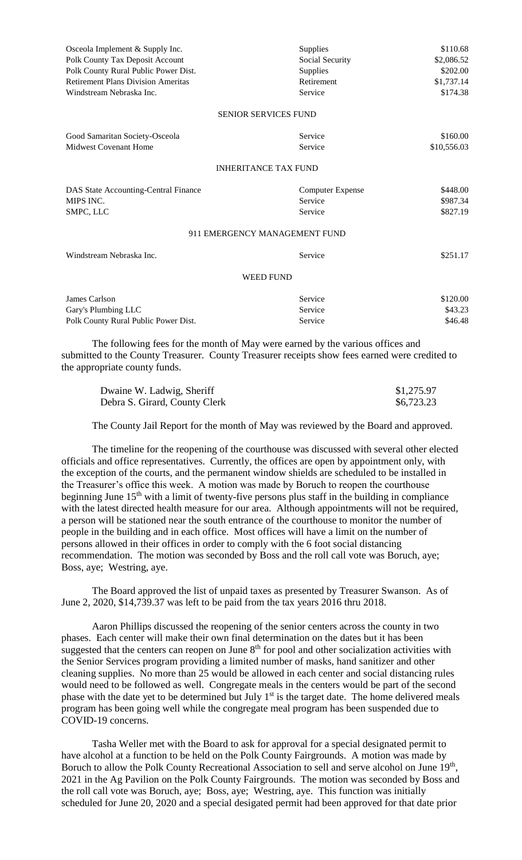| Osceola Implement & Supply Inc.                                                | Supplies                      | \$110.68    |
|--------------------------------------------------------------------------------|-------------------------------|-------------|
| Polk County Tax Deposit Account                                                | Social Security               | \$2,086.52  |
| Polk County Rural Public Power Dist.                                           | Supplies                      | \$202.00    |
| <b>Retirement Plans Division Ameritas</b>                                      | Retirement                    | \$1,737.14  |
| Windstream Nebraska Inc.                                                       | Service                       | \$174.38    |
|                                                                                | <b>SENIOR SERVICES FUND</b>   |             |
| Good Samaritan Society-Osceola                                                 | Service                       | \$160.00    |
| <b>Midwest Covenant Home</b>                                                   | Service                       | \$10,556.03 |
|                                                                                | <b>INHERITANCE TAX FUND</b>   |             |
| DAS State Accounting-Central Finance                                           | <b>Computer Expense</b>       | \$448.00    |
| MIPS INC.                                                                      | Service                       | \$987.34    |
| SMPC, LLC                                                                      | Service                       | \$827.19    |
|                                                                                | 911 EMERGENCY MANAGEMENT FUND |             |
| Windstream Nebraska Inc.                                                       | Service                       | \$251.17    |
|                                                                                | <b>WEED FUND</b>              |             |
| James Carlson                                                                  | Service                       | \$120.00    |
| Gary's Plumbing LLC                                                            | Service                       | \$43.23     |
| Polk County Rural Public Power Dist.                                           | Service                       | \$46.48     |
| The following fees for the month of May were earned by the various offices and |                               |             |

submitted to the County Treasurer. County Treasurer receipts show fees earned were credited to the appropriate county funds.

| Dwaine W. Ladwig, Sheriff     | \$1,275.97 |
|-------------------------------|------------|
| Debra S. Girard, County Clerk | \$6,723.23 |

The County Jail Report for the month of May was reviewed by the Board and approved.

The timeline for the reopening of the courthouse was discussed with several other elected officials and office representatives. Currently, the offices are open by appointment only, with the exception of the courts, and the permanent window shields are scheduled to be installed in the Treasurer's office this week. A motion was made by Boruch to reopen the courthouse beginning June 15<sup>th</sup> with a limit of twenty-five persons plus staff in the building in compliance with the latest directed health measure for our area. Although appointments will not be required, a person will be stationed near the south entrance of the courthouse to monitor the number of people in the building and in each office. Most offices will have a limit on the number of persons allowed in their offices in order to comply with the 6 foot social distancing recommendation. The motion was seconded by Boss and the roll call vote was Boruch, aye; Boss, aye; Westring, aye.

The Board approved the list of unpaid taxes as presented by Treasurer Swanson. As of June 2, 2020, \$14,739.37 was left to be paid from the tax years 2016 thru 2018.

Aaron Phillips discussed the reopening of the senior centers across the county in two phases. Each center will make their own final determination on the dates but it has been suggested that the centers can reopen on June  $8<sup>th</sup>$  for pool and other socialization activities with the Senior Services program providing a limited number of masks, hand sanitizer and other cleaning supplies. No more than 25 would be allowed in each center and social distancing rules would need to be followed as well. Congregate meals in the centers would be part of the second phase with the date yet to be determined but July  $1<sup>st</sup>$  is the target date. The home delivered meals program has been going well while the congregate meal program has been suspended due to COVID-19 concerns.

Tasha Weller met with the Board to ask for approval for a special designated permit to have alcohol at a function to be held on the Polk County Fairgrounds. A motion was made by Boruch to allow the Polk County Recreational Association to sell and serve alcohol on June 19<sup>th</sup>, 2021 in the Ag Pavilion on the Polk County Fairgrounds. The motion was seconded by Boss and the roll call vote was Boruch, aye; Boss, aye; Westring, aye. This function was initially scheduled for June 20, 2020 and a special desigated permit had been approved for that date prior